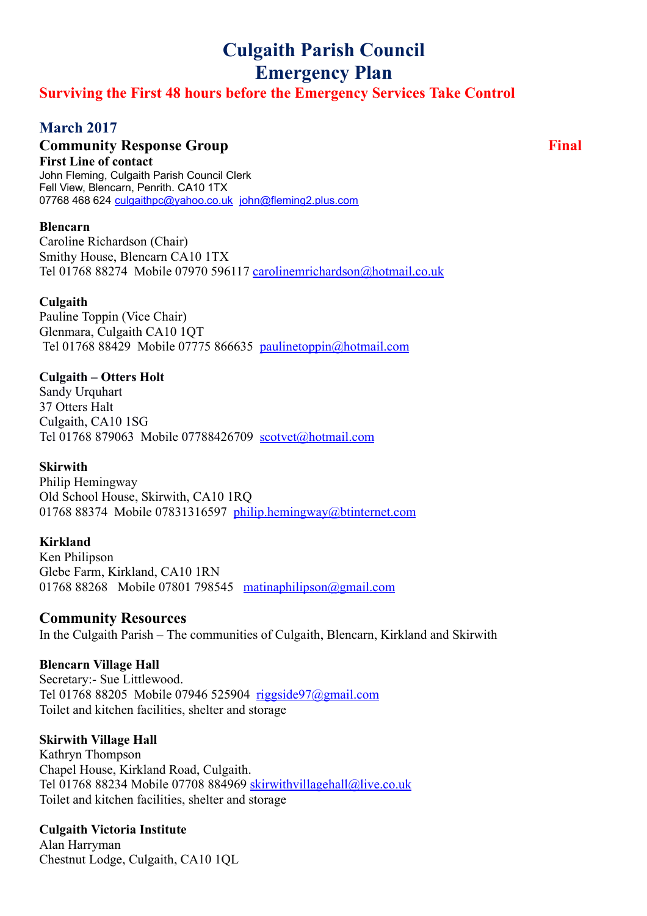# **Culgaith Parish Council Emergency Plan**

## **Surviving the First 48 hours before the Emergency Services Take Control**

# **March 2017**

## **Community Response Group Final**

**First Line of contact** John Fleming, Culgaith Parish Council Clerk Fell View, Blencarn, Penrith. CA10 1TX 07768 468 624 [culgaithpc@yahoo.co.uk](mailto:culgaithpc@yahoo.co.uk) [john@fleming2.plus.com](mailto:john@fleming2.plus.com)

#### **Blencarn**

Caroline Richardson (Chair) Smithy House, Blencarn CA10 1TX Tel 01768 88274 Mobile 07970 596117 [carolinemrichardson@hotmail.co.uk](mailto:carolinemrichardson@hotmail.co.uk)

#### **Culgaith**

Pauline Toppin (Vice Chair) Glenmara, Culgaith CA10 1QT Tel 01768 88429 Mobile 07775 866635 [paulinetoppin@hotmail.com](mailto:paulinetoppin@hotmail.com)

#### **Culgaith – Otters Holt**

Sandy Urquhart 37 Otters Halt Culgaith, CA10 1SG Tel 01768 879063 Mobile 07788426709 [scotvet@hotmail.com](mailto:scotvet@hotmail.com)

#### **Skirwith**

Philip Hemingway Old School House, Skirwith, CA10 1RQ 01768 88374 Mobile 07831316597 [philip.hemingway@btinternet.com](mailto:philip.hemingway@btinternet.com)

#### **Kirkland**

Ken Philipson Glebe Farm, Kirkland, CA10 1RN 01768 88268 Mobile 07801 798545 [matinaphilipson@gmail.com](mailto:matinaphilipson@gmail.com)

#### **Community Resources**

In the Culgaith Parish – The communities of Culgaith, Blencarn, Kirkland and Skirwith

#### **Blencarn Village Hall**

Secretary:- Sue Littlewood. Tel 01768 88205 Mobile 07946 525904 [riggside97@gmail.com](mailto:riggside97@gmail.com) Toilet and kitchen facilities, shelter and storage

#### **Skirwith Village Hall**

Kathryn Thompson Chapel House, Kirkland Road, Culgaith. Tel 01768 88234 Mobile 07708 884969 [skirwithvillagehall@live.co.uk](mailto:skirwithvillagehall@live.co.uk) Toilet and kitchen facilities, shelter and storage

#### **Culgaith Victoria Institute**

Alan Harryman Chestnut Lodge, Culgaith, CA10 1QL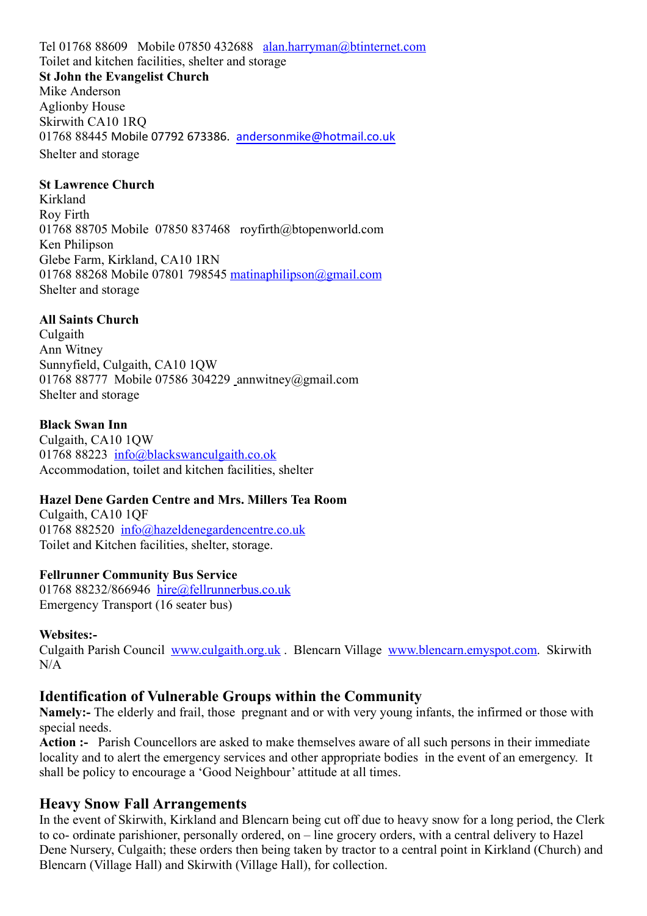Tel 01768 88609 Mobile 07850 432688 [alan.harryman@btinternet.com](mailto:alan.harryman@btinternet.com) Toilet and kitchen facilities, shelter and storage **St John the Evangelist Church** Mike Anderson Aglionby House Skirwith CA10 1RQ 01768 88445 Mobile 07792 673386. [andersonmike@hotmail.co.uk](mailto:andersonmike@hotmail.co.uk) Shelter and storage

#### **St Lawrence Church**

Kirkland Roy Firth 01768 88705 Mobile 07850 837468 royfirth@btopenworld.com Ken Philipson Glebe Farm, Kirkland, CA10 1RN 01768 88268 Mobile 07801 798545 [matinaphilipson@gmail.com](mailto:matinaphilipson@gmail.com) Shelter and storage

#### **All Saints Church**

Culgaith Ann Witney Sunnyfield, Culgaith, CA10 1QW 01768 88777 Mobile 07586 304229 \_annwitney@gmail.com Shelter and storage

#### **Black Swan Inn**

Culgaith, CA10 1QW 01768 88223 [info@blackswanculgaith.co.ok](mailto:info@blackswanculgaith.co.ok) Accommodation, toilet and kitchen facilities, shelter

#### **Hazel Dene Garden Centre and Mrs. Millers Tea Room**

Culgaith, CA10 1QF 01768 882520 [info@hazeldenegardencentre.co.uk](mailto:info@hazeldenegardencentre.co.uk) Toilet and Kitchen facilities, shelter, storage.

#### **Fellrunner Community Bus Service**

01768 88232/866946 [hire@fellrunnerbus.co.uk](mailto:hire@fellrunnerbus.co.uk) Emergency Transport (16 seater bus)

#### **Websites:-**

Culgaith Parish Council [www.culgaith.org.uk](http://www.culgaith.org.uk/) . Blencarn Village [www.blencarn.emyspot.com.](http://www.blencarn.emyspot.com/) Skirwith  $N/A$ 

### **Identification of Vulnerable Groups within the Community**

**Namely:-** The elderly and frail, those pregnant and or with very young infants, the infirmed or those with special needs.

**Action :-** Parish Councellors are asked to make themselves aware of all such persons in their immediate locality and to alert the emergency services and other appropriate bodies in the event of an emergency. It shall be policy to encourage a 'Good Neighbour' attitude at all times.

#### **Heavy Snow Fall Arrangements**

In the event of Skirwith, Kirkland and Blencarn being cut off due to heavy snow for a long period, the Clerk to co- ordinate parishioner, personally ordered, on – line grocery orders, with a central delivery to Hazel Dene Nursery, Culgaith; these orders then being taken by tractor to a central point in Kirkland (Church) and Blencarn (Village Hall) and Skirwith (Village Hall), for collection.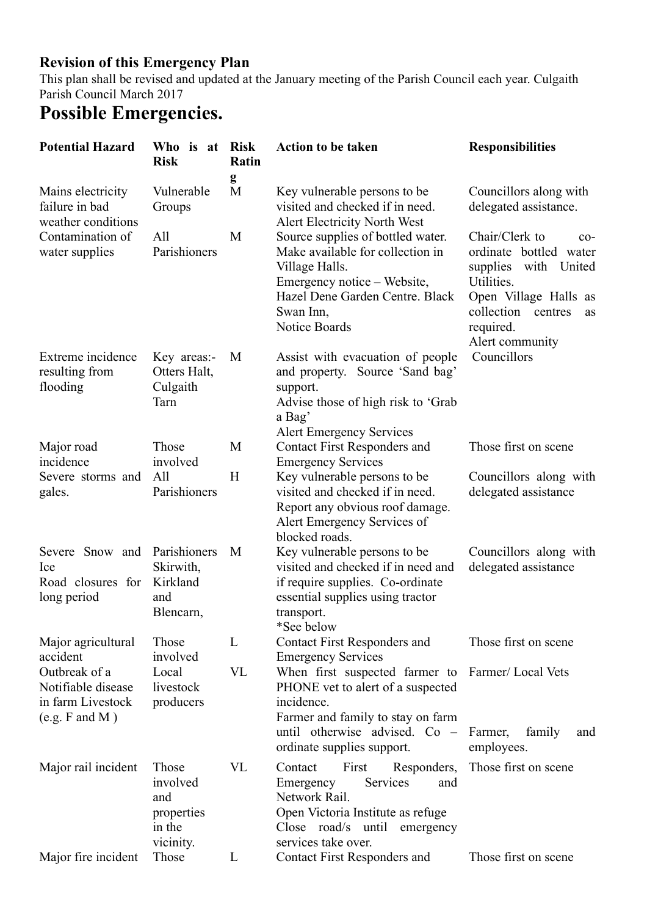# **Revision of this Emergency Plan**

This plan shall be revised and updated at the January meeting of the Parish Council each year. Culgaith Parish Council March 2017

# **Possible Emergencies.**

| <b>Potential Hazard</b>                                                    | Who is at<br><b>Risk</b>                                      | <b>Risk</b><br>Ratin | <b>Action to be taken</b>                                                                                                                                                                                 | <b>Responsibilities</b>                                                                                                                                                            |
|----------------------------------------------------------------------------|---------------------------------------------------------------|----------------------|-----------------------------------------------------------------------------------------------------------------------------------------------------------------------------------------------------------|------------------------------------------------------------------------------------------------------------------------------------------------------------------------------------|
| Mains electricity<br>failure in bad<br>weather conditions                  | Vulnerable<br>Groups                                          | g<br>M               | Key vulnerable persons to be.<br>visited and checked if in need.<br>Alert Electricity North West                                                                                                          | Councillors along with<br>delegated assistance.                                                                                                                                    |
| Contamination of<br>water supplies                                         | All<br>Parishioners                                           | M                    | Source supplies of bottled water.<br>Make available for collection in<br>Village Halls.<br>Emergency notice – Website,<br>Hazel Dene Garden Centre. Black<br>Swan Inn,<br>Notice Boards                   | Chair/Clerk to<br>$co-$<br>ordinate bottled water<br>supplies with<br>United<br>Utilities.<br>Open Village Halls as<br>collection<br>centres<br>as<br>required.<br>Alert community |
| Extreme incidence<br>resulting from<br>flooding                            | Key areas:-<br>Otters Halt,<br>Culgaith<br>Tarn               | M                    | Assist with evacuation of people<br>and property. Source 'Sand bag'<br>support.<br>Advise those of high risk to 'Grab<br>a Bag'<br><b>Alert Emergency Services</b>                                        | Councillors                                                                                                                                                                        |
| Major road<br>incidence                                                    | Those<br>involved                                             | M                    | <b>Contact First Responders and</b><br><b>Emergency Services</b>                                                                                                                                          | Those first on scene                                                                                                                                                               |
| Severe storms and<br>gales.                                                | All<br>Parishioners                                           | H                    | Key vulnerable persons to be<br>visited and checked if in need.<br>Report any obvious roof damage.<br>Alert Emergency Services of<br>blocked roads.                                                       | Councillors along with<br>delegated assistance                                                                                                                                     |
| Severe Snow and<br>Ice<br>Road closures for<br>long period                 | Parishioners<br>Skirwith,<br>Kirkland<br>and<br>Blencarn,     | M                    | Key vulnerable persons to be<br>visited and checked if in need and<br>if require supplies. Co-ordinate<br>essential supplies using tractor<br>transport.<br>*See below                                    | Councillors along with<br>delegated assistance                                                                                                                                     |
| Major agricultural<br>accident                                             | Those<br>involved                                             | L                    | <b>Contact First Responders and</b><br><b>Emergency Services</b>                                                                                                                                          | Those first on scene                                                                                                                                                               |
| Outbreak of a<br>Notifiable disease<br>in farm Livestock<br>(e.g. F and M) | Local<br>livestock<br>producers                               | <b>VL</b>            | When first suspected farmer to Farmer/Local Vets<br>PHONE vet to alert of a suspected<br>incidence.<br>Farmer and family to stay on farm<br>until otherwise advised. $Co -$<br>ordinate supplies support. | Farmer,<br>family<br>and<br>employees.                                                                                                                                             |
| Major rail incident                                                        | Those<br>involved<br>and<br>properties<br>in the<br>vicinity. | <b>VL</b>            | First<br>Responders,<br>Contact<br>Emergency<br>Services<br>and<br>Network Rail.<br>Open Victoria Institute as refuge<br>Close road/s until emergency<br>services take over.                              | Those first on scene                                                                                                                                                               |
| Major fire incident                                                        | Those                                                         | L                    | <b>Contact First Responders and</b>                                                                                                                                                                       | Those first on scene                                                                                                                                                               |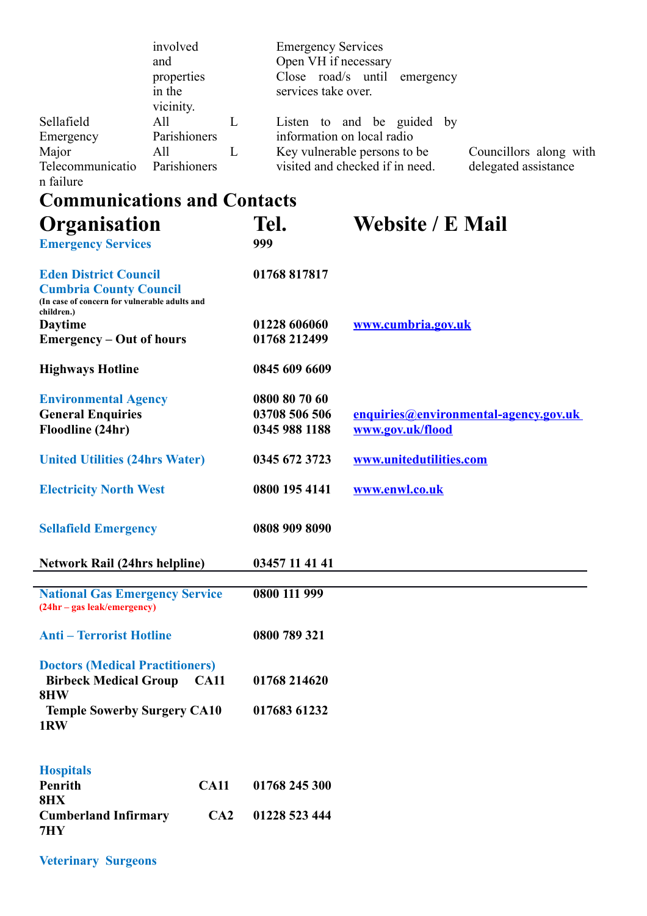|                               | involved<br>and<br>properties |  | <b>Emergency Services</b><br>Open VH if necessary<br>Close road/s until<br>emergency |                        |  |
|-------------------------------|-------------------------------|--|--------------------------------------------------------------------------------------|------------------------|--|
|                               |                               |  |                                                                                      |                        |  |
|                               |                               |  |                                                                                      |                        |  |
|                               | in the<br>vicinity.           |  | services take over.                                                                  |                        |  |
| Sellafield                    | All                           |  | Listen to and be guided by                                                           |                        |  |
| Emergency                     | Parishioners                  |  | information on local radio                                                           |                        |  |
| Major                         | All                           |  | Key vulnerable persons to be.                                                        | Councillors along with |  |
| Telecommunicatio<br>n failure | Parishioners                  |  | visited and checked if in need.                                                      | delegated assistance   |  |

# **Communications and Contacts**

| Organisation<br><b>Emergency Services</b>                                                                                    | Tel.<br>999                                     | <b>Website / E Mail</b>                                   |  |
|------------------------------------------------------------------------------------------------------------------------------|-------------------------------------------------|-----------------------------------------------------------|--|
| <b>Eden District Council</b><br><b>Cumbria County Council</b><br>(In case of concern for vulnerable adults and<br>children.) | 01768 817817                                    |                                                           |  |
| <b>Daytime</b><br><b>Emergency – Out of hours</b>                                                                            | 01228 606060<br>01768 212499                    | www.cumbria.gov.uk                                        |  |
| <b>Highways Hotline</b>                                                                                                      | 0845 609 6609                                   |                                                           |  |
| <b>Environmental Agency</b><br><b>General Enquiries</b><br>Floodline (24hr)                                                  | 0800 80 70 60<br>03708 506 506<br>0345 988 1188 | enquiries@environmental-agency.gov.uk<br>www.gov.uk/flood |  |
| <b>United Utilities (24hrs Water)</b>                                                                                        | 0345 672 3723                                   | www.unitedutilities.com                                   |  |
| <b>Electricity North West</b>                                                                                                | 0800 195 4141                                   | www.enwl.co.uk                                            |  |
| <b>Sellafield Emergency</b>                                                                                                  | 0808 909 8090                                   |                                                           |  |
| <b>Network Rail (24hrs helpline)</b>                                                                                         | 03457 11 41 41                                  |                                                           |  |
| <b>National Gas Emergency Service</b><br>(24hr – gas leak/emergency)                                                         | 0800 111 999                                    |                                                           |  |
| <b>Anti - Terrorist Hotline</b>                                                                                              | 0800 789 321                                    |                                                           |  |
| <b>Doctors (Medical Practitioners)</b><br><b>Birbeck Medical Group</b><br><b>CA11</b><br>8HW                                 | 01768 214620                                    |                                                           |  |
| <b>Temple Sowerby Surgery CA10</b><br>1RW                                                                                    | 017683 61232                                    |                                                           |  |
| <b>Hospitals</b><br>Penrith                                                                                                  |                                                 |                                                           |  |
| <b>CA11</b><br><b>8HX</b><br><b>Cumberland Infirmary</b><br>CA2                                                              | 01768 245 300<br>01228 523 444                  |                                                           |  |
| 7HY                                                                                                                          |                                                 |                                                           |  |

**Veterinary Surgeons**